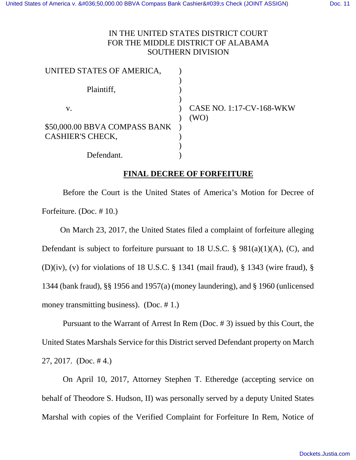## IN THE UNITED STATES DISTRICT COURT FOR THE MIDDLE DISTRICT OF ALABAMA SOUTHERN DIVISION

| UNITED STATES OF AMERICA,     |                                         |
|-------------------------------|-----------------------------------------|
| Plaintiff,                    |                                         |
| V.                            | <b>CASE NO. 1:17-CV-168-WKW</b><br>(WO) |
| \$50,000.00 BBVA COMPASS BANK |                                         |
| <b>CASHIER'S CHECK,</b>       |                                         |
|                               |                                         |
| Defendant.                    |                                         |

## **FINAL DECREE OF FORFEITURE**

Before the Court is the United States of America's Motion for Decree of Forfeiture. (Doc. # 10.)

On March 23, 2017, the United States filed a complaint of forfeiture alleging Defendant is subject to forfeiture pursuant to 18 U.S.C. § 981(a)(1)(A), (C), and (D)(iv), (v) for violations of 18 U.S.C. § 1341 (mail fraud), § 1343 (wire fraud), § 1344 (bank fraud), §§ 1956 and 1957(a) (money laundering), and § 1960 (unlicensed money transmitting business). (Doc. #1.)

Pursuant to the Warrant of Arrest In Rem (Doc. # 3) issued by this Court, the United States Marshals Service for this District served Defendant property on March 27, 2017. (Doc. # 4.)

On April 10, 2017, Attorney Stephen T. Etheredge (accepting service on behalf of Theodore S. Hudson, II) was personally served by a deputy United States Marshal with copies of the Verified Complaint for Forfeiture In Rem, Notice of